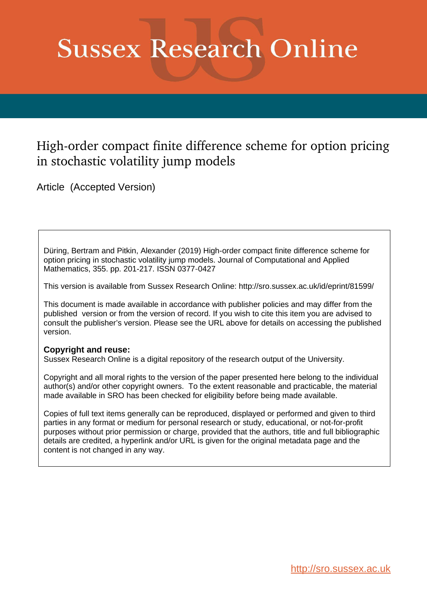# **Sussex Research Online**

# High-order compact finite difference scheme for option pricing in stochastic volatility jump models

Article (Accepted Version)

Düring, Bertram and Pitkin, Alexander (2019) High-order compact finite difference scheme for option pricing in stochastic volatility jump models. Journal of Computational and Applied Mathematics, 355. pp. 201-217. ISSN 0377-0427

This version is available from Sussex Research Online: http://sro.sussex.ac.uk/id/eprint/81599/

This document is made available in accordance with publisher policies and may differ from the published version or from the version of record. If you wish to cite this item you are advised to consult the publisher's version. Please see the URL above for details on accessing the published version.

## **Copyright and reuse:**

Sussex Research Online is a digital repository of the research output of the University.

Copyright and all moral rights to the version of the paper presented here belong to the individual author(s) and/or other copyright owners. To the extent reasonable and practicable, the material made available in SRO has been checked for eligibility before being made available.

Copies of full text items generally can be reproduced, displayed or performed and given to third parties in any format or medium for personal research or study, educational, or not-for-profit purposes without prior permission or charge, provided that the authors, title and full bibliographic details are credited, a hyperlink and/or URL is given for the original metadata page and the content is not changed in any way.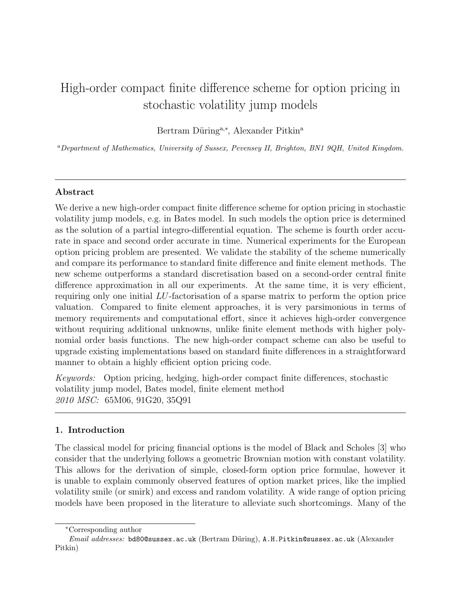# High-order compact finite difference scheme for option pricing in stochastic volatility jump models

Bertram Düring<sup>a,\*</sup>, Alexander Pitkin<sup>a</sup>

<sup>a</sup>Department of Mathematics, University of Sussex, Pevensey II, Brighton, BN1 9QH, United Kingdom.

### Abstract

We derive a new high-order compact finite difference scheme for option pricing in stochastic volatility jump models, e.g. in Bates model. In such models the option price is determined as the solution of a partial integro-differential equation. The scheme is fourth order accurate in space and second order accurate in time. Numerical experiments for the European option pricing problem are presented. We validate the stability of the scheme numerically and compare its performance to standard finite difference and finite element methods. The new scheme outperforms a standard discretisation based on a second-order central finite difference approximation in all our experiments. At the same time, it is very efficient, requiring only one initial LU-factorisation of a sparse matrix to perform the option price valuation. Compared to finite element approaches, it is very parsimonious in terms of memory requirements and computational effort, since it achieves high-order convergence without requiring additional unknowns, unlike finite element methods with higher polynomial order basis functions. The new high-order compact scheme can also be useful to upgrade existing implementations based on standard finite differences in a straightforward manner to obtain a highly efficient option pricing code.

Keywords: Option pricing, hedging, high-order compact finite differences, stochastic volatility jump model, Bates model, finite element method 2010 MSC: 65M06, 91G20, 35Q91

## 1. Introduction

The classical model for pricing financial options is the model of Black and Scholes [3] who consider that the underlying follows a geometric Brownian motion with constant volatility. This allows for the derivation of simple, closed-form option price formulae, however it is unable to explain commonly observed features of option market prices, like the implied volatility smile (or smirk) and excess and random volatility. A wide range of option pricing models have been proposed in the literature to alleviate such shortcomings. Many of the

<sup>∗</sup>Corresponding author

Email addresses: bd80@sussex.ac.uk (Bertram Düring), A.H.Pitkin@sussex.ac.uk (Alexander Pitkin)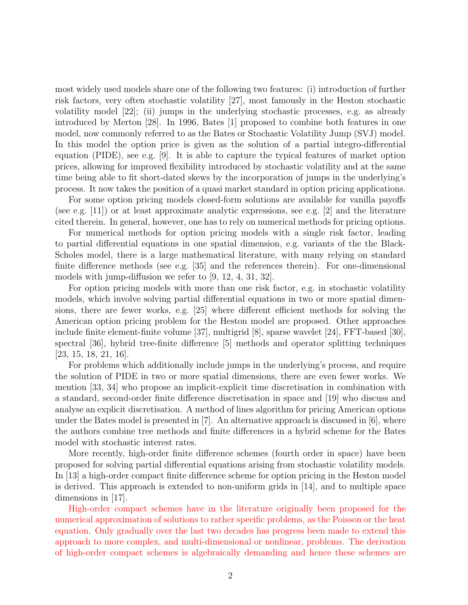most widely used models share one of the following two features: (i) introduction of further risk factors, very often stochastic volatility [27], most famously in the Heston stochastic volatility model [22]; (ii) jumps in the underlying stochastic processes, e.g. as already introduced by Merton [28]. In 1996, Bates [1] proposed to combine both features in one model, now commonly referred to as the Bates or Stochastic Volatility Jump (SVJ) model. In this model the option price is given as the solution of a partial integro-differential equation (PIDE), see e.g. [9]. It is able to capture the typical features of market option prices, allowing for improved flexibility introduced by stochastic volatility and at the same time being able to fit short-dated skews by the incorporation of jumps in the underlying's process. It now takes the position of a quasi market standard in option pricing applications.

For some option pricing models closed-form solutions are available for vanilla payoffs (see e.g. [11]) or at least approximate analytic expressions, see e.g. [2] and the literature cited therein. In general, however, one has to rely on numerical methods for pricing options.

For numerical methods for option pricing models with a single risk factor, leading to partial differential equations in one spatial dimension, e.g. variants of the the Black-Scholes model, there is a large mathematical literature, with many relying on standard finite difference methods (see e.g. [35] and the references therein). For one-dimensional models with jump-diffusion we refer to [9, 12, 4, 31, 32].

For option pricing models with more than one risk factor, e.g. in stochastic volatility models, which involve solving partial differential equations in two or more spatial dimensions, there are fewer works, e.g. [25] where different efficient methods for solving the American option pricing problem for the Heston model are proposed. Other approaches include finite element-finite volume [37], multigrid [8], sparse wavelet [24], FFT-based [30], spectral [36], hybrid tree-finite difference [5] methods and operator splitting techniques [23, 15, 18, 21, 16].

For problems which additionally include jumps in the underlying's process, and require the solution of PIDE in two or more spatial dimensions, there are even fewer works. We mention [33, 34] who propose an implicit-explicit time discretisation in combination with a standard, second-order finite difference discretisation in space and [19] who discuss and analyse an explicit discretisation. A method of lines algorithm for pricing American options under the Bates model is presented in [7]. An alternative approach is discussed in  $[6]$ , where the authors combine tree methods and finite differences in a hybrid scheme for the Bates model with stochastic interest rates.

More recently, high-order finite difference schemes (fourth order in space) have been proposed for solving partial differential equations arising from stochastic volatility models. In [13] a high-order compact finite difference scheme for option pricing in the Heston model is derived. This approach is extended to non-uniform grids in [14], and to multiple space dimensions in [17].

High-order compact schemes have in the literature originally been proposed for the numerical approximation of solutions to rather specific problems, as the Poisson or the heat equation. Only gradually over the last two decades has progress been made to extend this approach to more complex, and multi-dimensional or nonlinear, problems. The derivation of high-order compact schemes is algebraically demanding and hence these schemes are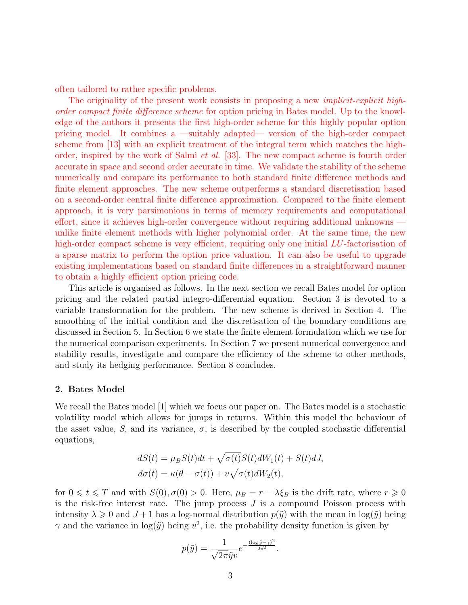often tailored to rather specific problems.

The originality of the present work consists in proposing a new *implicit-explicit high*order compact finite difference scheme for option pricing in Bates model. Up to the knowledge of the authors it presents the first high-order scheme for this highly popular option pricing model. It combines a —suitably adapted— version of the high-order compact scheme from [13] with an explicit treatment of the integral term which matches the highorder, inspired by the work of Salmi et al. [33]. The new compact scheme is fourth order accurate in space and second order accurate in time. We validate the stability of the scheme numerically and compare its performance to both standard finite difference methods and finite element approaches. The new scheme outperforms a standard discretisation based on a second-order central finite difference approximation. Compared to the finite element approach, it is very parsimonious in terms of memory requirements and computational effort, since it achieves high-order convergence without requiring additional unknowns unlike finite element methods with higher polynomial order. At the same time, the new high-order compact scheme is very efficient, requiring only one initial LU-factorisation of a sparse matrix to perform the option price valuation. It can also be useful to upgrade existing implementations based on standard finite differences in a straightforward manner to obtain a highly efficient option pricing code.

This article is organised as follows. In the next section we recall Bates model for option pricing and the related partial integro-differential equation. Section 3 is devoted to a variable transformation for the problem. The new scheme is derived in Section 4. The smoothing of the initial condition and the discretisation of the boundary conditions are discussed in Section 5. In Section 6 we state the finite element formulation which we use for the numerical comparison experiments. In Section 7 we present numerical convergence and stability results, investigate and compare the efficiency of the scheme to other methods, and study its hedging performance. Section 8 concludes.

#### 2. Bates Model

We recall the Bates model [1] which we focus our paper on. The Bates model is a stochastic volatility model which allows for jumps in returns. Within this model the behaviour of the asset value, S, and its variance,  $\sigma$ , is described by the coupled stochastic differential equations,

$$
dS(t) = \mu_B S(t)dt + \sqrt{\sigma(t)}S(t)dW_1(t) + S(t)dJ,
$$
  
\n
$$
d\sigma(t) = \kappa(\theta - \sigma(t)) + v\sqrt{\sigma(t)}dW_2(t),
$$

for  $0 \leq t \leq T$  and with  $S(0), \sigma(0) > 0$ . Here,  $\mu_B = r - \lambda \xi_B$  is the drift rate, where  $r \geq 0$ is the risk-free interest rate. The jump process  $J$  is a compound Poisson process with intensity  $\lambda \geqslant 0$  and  $J+1$  has a log-normal distribution  $p(\tilde{y})$  with the mean in log( $\tilde{y}$ ) being  $\gamma$  and the variance in  $\log(\tilde{y})$  being  $v^2$ , i.e. the probability density function is given by

$$
p(\tilde{y}) = \frac{1}{\sqrt{2\pi}\tilde{y}v}e^{-\frac{(\log \tilde{y} - \gamma)^2}{2v^2}}.
$$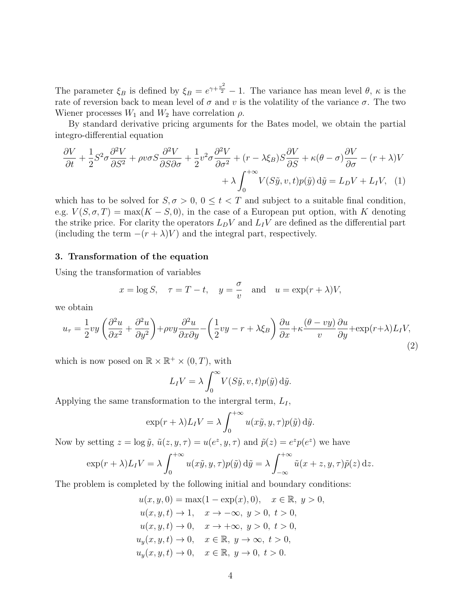The parameter  $\xi_B$  is defined by  $\xi_B = e^{\gamma + \frac{v^2}{2}} - 1$ . The variance has mean level  $\theta$ ,  $\kappa$  is the rate of reversion back to mean level of  $\sigma$  and  $v$  is the volatility of the variance  $\sigma$ . The two Wiener processes  $W_1$  and  $W_2$  have correlation  $\rho$ .

By standard derivative pricing arguments for the Bates model, we obtain the partial integro-differential equation

$$
\frac{\partial V}{\partial t} + \frac{1}{2} S^2 \sigma \frac{\partial^2 V}{\partial S^2} + \rho v \sigma S \frac{\partial^2 V}{\partial S \partial \sigma} + \frac{1}{2} v^2 \sigma \frac{\partial^2 V}{\partial \sigma^2} + (r - \lambda \xi_B) S \frac{\partial V}{\partial S} + \kappa (\theta - \sigma) \frac{\partial V}{\partial \sigma} - (r + \lambda) V + \lambda \int_0^{+\infty} V(S\tilde{y}, v, t) p(\tilde{y}) d\tilde{y} = L_D V + L_I V, (1)
$$

which has to be solved for  $S, \sigma > 0, 0 \le t < T$  and subject to a suitable final condition, e.g.  $V(S, \sigma, T) = \max(K - S, 0)$ , in the case of a European put option, with K denoting the strike price. For clarity the operators  $L_D V$  and  $L_I V$  are defined as the differential part (including the term  $-(r + \lambda)V$ ) and the integral part, respectively.

#### 3. Transformation of the equation

Using the transformation of variables

$$
x = \log S
$$
,  $\tau = T - t$ ,  $y = \frac{\sigma}{v}$  and  $u = \exp(r + \lambda)V$ ,

we obtain

$$
u_{\tau} = \frac{1}{2}vy\left(\frac{\partial^2 u}{\partial x^2} + \frac{\partial^2 u}{\partial y^2}\right) + \rho vy\frac{\partial^2 u}{\partial x \partial y} - \left(\frac{1}{2}vy - r + \lambda \xi_B\right)\frac{\partial u}{\partial x} + \kappa \frac{(\theta - vy)}{v}\frac{\partial u}{\partial y} + \exp(r + \lambda)L_I V,\tag{2}
$$

which is now posed on  $\mathbb{R} \times \mathbb{R}^+ \times (0,T)$ , with

$$
L_I V = \lambda \int_0^\infty V(S\tilde{y}, v, t) p(\tilde{y}) \, d\tilde{y}.
$$

Applying the same transformation to the intergral term,  $L_I$ ,

$$
\exp(r+\lambda)L_I V = \lambda \int_0^{+\infty} u(x\tilde{y}, y, \tau) p(\tilde{y}) \,d\tilde{y}.
$$

Now by setting  $z = \log \tilde{y}$ ,  $\tilde{u}(z, y, \tau) = u(e^z, y, \tau)$  and  $\tilde{p}(z) = e^z p(e^z)$  we have

$$
\exp(r+\lambda)L_I V = \lambda \int_0^{+\infty} u(x\tilde{y}, y, \tau) p(\tilde{y}) d\tilde{y} = \lambda \int_{-\infty}^{+\infty} \tilde{u}(x+z, y, \tau) \tilde{p}(z) dz.
$$

The problem is completed by the following initial and boundary conditions:

$$
u(x, y, 0) = \max(1 - \exp(x), 0), \quad x \in \mathbb{R}, y > 0,
$$
  
\n
$$
u(x, y, t) \to 1, \quad x \to -\infty, y > 0, t > 0,
$$
  
\n
$$
u(x, y, t) \to 0, \quad x \to +\infty, y > 0, t > 0,
$$
  
\n
$$
u_y(x, y, t) \to 0, \quad x \in \mathbb{R}, y \to \infty, t > 0,
$$
  
\n
$$
u_y(x, y, t) \to 0, \quad x \in \mathbb{R}, y \to 0, t > 0.
$$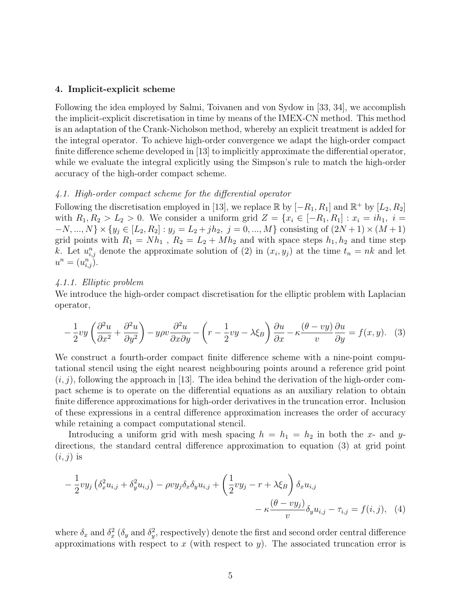#### 4. Implicit-explicit scheme

Following the idea employed by Salmi, Toivanen and von Sydow in [33, 34], we accomplish the implicit-explicit discretisation in time by means of the IMEX-CN method. This method is an adaptation of the Crank-Nicholson method, whereby an explicit treatment is added for the integral operator. To achieve high-order convergence we adapt the high-order compact finite difference scheme developed in [13] to implicitly approximate the differential operator, while we evaluate the integral explicitly using the Simpson's rule to match the high-order accuracy of the high-order compact scheme.

#### 4.1. High-order compact scheme for the differential operator

Following the discretisation employed in [13], we replace  $\mathbb R$  by  $[-R_1, R_1]$  and  $\mathbb R^+$  by  $[L_2, R_2]$ with  $R_1, R_2 > L_2 > 0$ . We consider a uniform grid  $Z = \{x_i \in [-R_1, R_1] : x_i = ih_1, i =$  $-N, ..., N$  × { $y_j \in [L_2, R_2] : y_j = L_2 + jh_2, j = 0, ..., M$ } consisting of  $(2N + 1) \times (M + 1)$ grid points with  $R_1 = Nh_1$ ,  $R_2 = L_2 + Mh_2$  and with space steps  $h_1, h_2$  and time step k. Let  $u_{i,j}^n$  denote the approximate solution of (2) in  $(x_i, y_j)$  at the time  $t_n = nk$  and let  $u^n=(u^n_{i,j}).$ 

#### 4.1.1. Elliptic problem

We introduce the high-order compact discretisation for the elliptic problem with Laplacian operator,

$$
-\frac{1}{2}vy\left(\frac{\partial^2 u}{\partial x^2} + \frac{\partial^2 u}{\partial y^2}\right) - y\rho v \frac{\partial^2 u}{\partial x \partial y} - \left(r - \frac{1}{2}vy - \lambda \xi_B\right) \frac{\partial u}{\partial x} - \kappa \frac{(\theta - vy)}{v} \frac{\partial u}{\partial y} = f(x, y). \tag{3}
$$

We construct a fourth-order compact finite difference scheme with a nine-point computational stencil using the eight nearest neighbouring points around a reference grid point  $(i, j)$ , following the approach in [13]. The idea behind the derivation of the high-order compact scheme is to operate on the differential equations as an auxiliary relation to obtain finite difference approximations for high-order derivatives in the truncation error. Inclusion of these expressions in a central difference approximation increases the order of accuracy while retaining a compact computational stencil.

Introducing a uniform grid with mesh spacing  $h = h_1 = h_2$  in both the x- and ydirections, the standard central difference approximation to equation (3) at grid point  $(i, j)$  is

$$
-\frac{1}{2}vy_j\left(\delta_x^2u_{i,j} + \delta_y^2u_{i,j}\right) - \rho vy_j\delta_x\delta_yu_{i,j} + \left(\frac{1}{2}vy_j - r + \lambda\xi_B\right)\delta_xu_{i,j} - \kappa\frac{(\theta - vy_j)}{v}\delta_yu_{i,j} - \tau_{i,j} = f(i,j), \quad (4)
$$

where  $\delta_x$  and  $\delta_x^2$  ( $\delta_y$  and  $\delta_y^2$ , respectively) denote the first and second order central difference approximations with respect to x (with respect to y). The associated truncation error is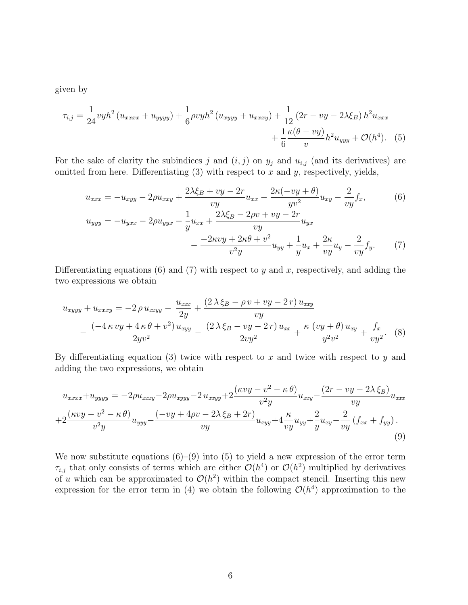given by

$$
\tau_{i,j} = \frac{1}{24} v y h^2 (u_{xxxx} + u_{yyy} + \frac{1}{6} \rho v y h^2 (u_{xyyy} + u_{xxxy}) + \frac{1}{12} (2r - vy - 2\lambda \xi_B) h^2 u_{xxx} + \frac{1}{6} \frac{\kappa (\theta - v y)}{v} h^2 u_{yyy} + \mathcal{O}(h^4).
$$
 (5)

For the sake of clarity the subindices j and  $(i, j)$  on  $y_j$  and  $u_{i,j}$  (and its derivatives) are omitted from here. Differentiating  $(3)$  with respect to x and y, respectively, yields,

$$
u_{xxx} = -u_{xyy} - 2\rho u_{xxy} + \frac{2\lambda \xi_B + vy - 2r}{vy} u_{xx} - \frac{2\kappa(-vy + \theta)}{yv^2} u_{xy} - \frac{2}{vy} f_x,
$$
(6)  

$$
u_{yyy} = -u_{yxx} - 2\rho u_{yyx} - \frac{1}{y} u_{xx} + \frac{2\lambda \xi_B - 2\rho v + vy - 2r}{vy} u_{yx}
$$

$$
- \frac{-2\kappa vy + 2\kappa \theta + v^2}{v^2 y} u_{yy} + \frac{1}{y} u_x + \frac{2\kappa}{vy} u_y - \frac{2}{vy} f_y.
$$
(7)

Differentiating equations  $(6)$  and  $(7)$  with respect to y and x, respectively, and adding the two expressions we obtain

$$
u_{xyyy} + u_{xxxy} = -2 \rho u_{xxyy} - \frac{u_{xxx}}{2y} + \frac{(2 \lambda \xi_B - \rho v + v y - 2r) u_{xxy}}{vy} - \frac{(-4 \kappa v y + 4 \kappa \theta + v^2) u_{xyy}}{2yv^2} - \frac{(2 \lambda \xi_B - v y - 2r) u_{xx}}{2vy^2} + \frac{\kappa (vy + \theta) u_{xy}}{y^2v^2} + \frac{f_x}{vy^2}.
$$
 (8)

By differentiating equation (3) twice with respect to x and twice with respect to y and adding the two expressions, we obtain

$$
u_{xxxx} + u_{yyyy} = -2\rho u_{xxxy} - 2\rho u_{xyyy} - 2 u_{xxyy} + 2\frac{(\kappa vy - v^2 - \kappa \theta)}{v^2 y} u_{xxy} - \frac{(2r - vy - 2\lambda \xi_B)}{vy} u_{xxx} + 2\frac{(\kappa vy - v^2 - \kappa \theta)}{v^2 y} u_{yyy} - \frac{(-vy + 4\rho v - 2\lambda \xi_B + 2r)}{vy} u_{xyy} + 4\frac{\kappa}{vy} u_{yy} + \frac{2}{y} u_{xy} - \frac{2}{vy} (f_{xx} + f_{yy}).
$$
\n(9)

We now substitute equations  $(6)-(9)$  into  $(5)$  to yield a new expression of the error term  $\tau_{i,j}$  that only consists of terms which are either  $\mathcal{O}(h^4)$  or  $\mathcal{O}(h^2)$  multiplied by derivatives of u which can be approximated to  $\mathcal{O}(h^2)$  within the compact stencil. Inserting this new expression for the error term in (4) we obtain the following  $\mathcal{O}(h^4)$  approximation to the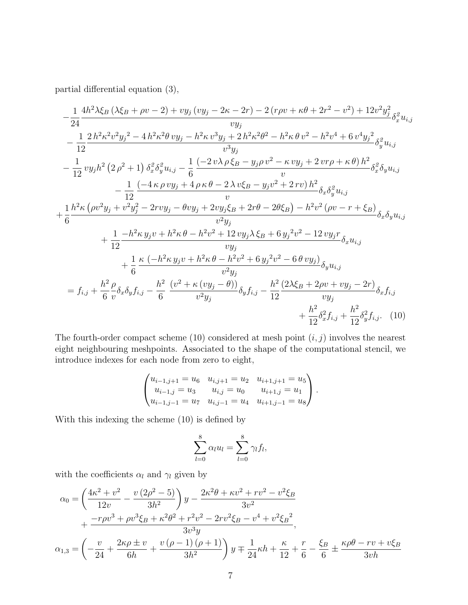partial differential equation (3),

$$
-\frac{1}{24} \frac{4h^2 \lambda \xi_B (\lambda \xi_B + \rho v - 2) + v y_j (v y_j - 2\kappa - 2r) - 2 (r \rho v + \kappa \theta + 2r^2 - v^2) + 12v^2 y_j^2}{v y_j} \delta_x^2 u_{i,j}
$$
  
\n
$$
-\frac{1}{12} \frac{2 h^2 \kappa^2 v^2 y_j^2 - 4 h^2 \kappa^2 \theta v y_j - h^2 \kappa v^3 y_j + 2 h^2 \kappa^2 \theta^2 - h^2 \kappa \theta v^2 - h^2 v^4 + 6 v^4 y_j^2}{v^3 y_j} \delta_y^2 u_{i,j}
$$
  
\n
$$
-\frac{1}{12} v y_j h^2 (2 \rho^2 + 1) \delta_x^2 \delta_y^2 u_{i,j} - \frac{1}{6} \frac{(-2 v \lambda \rho \xi_B - y_j \rho v^2 - \kappa v y_j + 2 v r \rho + \kappa \theta) h^2}{v} \delta_x^2 \delta_y u_{i,j}
$$
  
\n
$$
-\frac{1}{12} \frac{(-4 \kappa \rho v y_j + 4 \rho \kappa \theta - 2 \lambda v \xi_B - y_j v^2 + 2 r v) h^2}{v} \delta_x \delta_y^2 u_{i,j}
$$
  
\n
$$
+\frac{1}{6} \frac{h^2 \kappa (\rho v^2 y_j + v^2 y_j^2 - 2 r v y_j - \theta v y_j + 2 v y_j \xi_B + 2r \theta - 2\theta \xi_B) - h^2 v^2 (\rho v - r + \xi_B)}{v^2 y_j} \delta_x \delta_y u_{i,j}
$$
  
\n
$$
+\frac{1}{12} \frac{-h^2 \kappa y_j v + h^2 \kappa \theta - h^2 v^2 + 12 v y_j \lambda \xi_B + 6 y_j^2 v^2 - 12 v y_j r}{v y_j} \delta_x u_{i,j}
$$
  
\n
$$
+\frac{1}{6} \frac{\kappa (-h^2 \kappa y_j v + h^2 \kappa \theta - h^2 v^2 + 6 y_j^2 v^2 - 6 \theta v y_j)}{v^2 y_j} \delta_y u_{i,j}
$$
  
\n
$$
= f_{i,j} + \frac{h^2}{6} \rho^2 \kappa \delta_y f_{i,j
$$

The fourth-order compact scheme (10) considered at mesh point  $(i, j)$  involves the nearest eight neighbouring meshpoints. Associated to the shape of the computational stencil, we introduce indexes for each node from zero to eight,

$$
\begin{pmatrix} u_{i-1,j+1} = u_6 & u_{i,j+1} = u_2 & u_{i+1,j+1} = u_5 \\ u_{i-1,j} = u_3 & u_{i,j} = u_0 & u_{i+1,j} = u_1 \\ u_{i-1,j-1} = u_7 & u_{i,j-1} = u_4 & u_{i+1,j-1} = u_8 \end{pmatrix}.
$$

With this indexing the scheme (10) is defined by

$$
\sum_{l=0}^{8} \alpha_l u_l = \sum_{l=0}^{8} \gamma_l f_l,
$$

with the coefficients  $\alpha_l$  and  $\gamma_l$  given by

$$
\alpha_0 = \left(\frac{4\kappa^2 + v^2}{12v} - \frac{v(2\rho^2 - 5)}{3h^2}\right)y - \frac{2\kappa^2\theta + \kappa v^2 + rv^2 - v^2\xi_B}{3v^2} \n+ \frac{-r\rho v^3 + \rho v^3\xi_B + \kappa^2\theta^2 + r^2v^2 - 2rv^2\xi_B - v^4 + v^2\xi_B^2}{3v^3y},
$$
\n
$$
\alpha_{1,3} = \left(-\frac{v}{24} + \frac{2\kappa\rho \pm v}{6h} + \frac{v(\rho - 1)(\rho + 1)}{3h^2}\right)y \mp \frac{1}{24}\kappa h + \frac{\kappa}{12} + \frac{r}{6} - \frac{\xi_B}{6} \pm \frac{\kappa\rho\theta - rv + v\xi_B}{3vh}
$$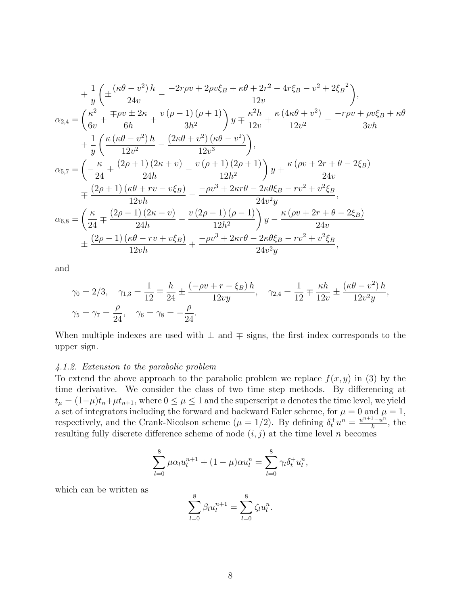$$
+\frac{1}{y}\left(\pm\frac{(\kappa\theta - v^2)h}{24v} - \frac{-2r\rho v + 2\rho v\xi_B + \kappa\theta + 2r^2 - 4r\xi_B - v^2 + 2\xi_B^2}{12v}\right),
$$
  
\n
$$
\alpha_{2,4} = \left(\frac{\kappa^2}{6v} + \frac{\mp\rho v \pm 2\kappa}{6h} + \frac{v\left(\rho - 1\right)\left(\rho + 1\right)}{3h^2}\right)y \mp \frac{\kappa^2 h}{12v} + \frac{\kappa(4\kappa\theta + v^2)}{12v^2} - \frac{-r\rho v + \rho v\xi_B + \kappa\theta}{3v h}
$$
  
\n
$$
+\frac{1}{y}\left(\frac{\kappa(\kappa\theta - v^2)h}{12v^2} - \frac{(2\kappa\theta + v^2)(\kappa\theta - v^2)}{12v^3}\right),
$$
  
\n
$$
\alpha_{5,7} = \left(-\frac{\kappa}{24} \pm \frac{(2\rho + 1)(2\kappa + v)}{24h} - \frac{v\left(\rho + 1\right)(2\rho + 1)}{12h^2}\right)y + \frac{\kappa(\rho v + 2r + \theta - 2\xi_B)}{24v}
$$
  
\n
$$
= \frac{(2\rho + 1)(\kappa\theta + rv - v\xi_B)}{12vh} - \frac{-\rho v^3 + 2\kappa r\theta - 2\kappa\theta\xi_B - rv^2 + v^2\xi_B}{24v^2y},
$$
  
\n
$$
\alpha_{6,8} = \left(\frac{\kappa}{24} \mp \frac{(2\rho - 1)(2\kappa - v)}{24h} - \frac{v(2\rho - 1)(\rho - 1)}{12h^2}\right)y - \frac{\kappa(\rho v + 2r + \theta - 2\xi_B)}{24v}
$$
  
\n
$$
\pm \frac{(2\rho - 1)(\kappa\theta - rv + v\xi_B)}{12vh} + \frac{-\rho v^3 + 2\kappa r\theta - 2\kappa\theta\xi_B - rv^2 + v^2\xi_B}{24v^2y},
$$

and

$$
\gamma_0 = 2/3, \quad \gamma_{1,3} = \frac{1}{12} \mp \frac{h}{24} \pm \frac{(-\rho v + r - \xi_B) h}{12vy}, \quad \gamma_{2,4} = \frac{1}{12} \mp \frac{\kappa h}{12v} \pm \frac{(\kappa \theta - v^2) h}{12v^2y},
$$
  

$$
\gamma_5 = \gamma_7 = \frac{\rho}{24}, \quad \gamma_6 = \gamma_8 = -\frac{\rho}{24}.
$$

When multiple indexes are used with  $\pm$  and  $\mp$  signs, the first index corresponds to the upper sign.

#### 4.1.2. Extension to the parabolic problem

To extend the above approach to the parabolic problem we replace  $f(x, y)$  in (3) by the time derivative. We consider the class of two time step methods. By differencing at  $t_{\mu} = (1-\mu)t_n + \mu t_{n+1}$ , where  $0 \leq \mu \leq 1$  and the superscript n denotes the time level, we yield a set of integrators including the forward and backward Euler scheme, for  $\mu = 0$  and  $\mu = 1$ , respectively, and the Crank-Nicolson scheme  $(\mu = 1/2)$ . By defining  $\delta_t^+ u^n = \frac{u^{n+1}-u^n}{k}$  $\frac{1-u^n}{k}$ , the resulting fully discrete difference scheme of node  $(i, j)$  at the time level n becomes

$$
\sum_{l=0}^{8} \mu \alpha_l u_l^{n+1} + (1 - \mu) \alpha u_l^n = \sum_{l=0}^{8} \gamma_l \delta_t^+ u_l^n,
$$

which can be written as

$$
\sum_{l=0}^{8} \beta_l u_l^{n+1} = \sum_{l=0}^{8} \zeta_l u_l^{n}.
$$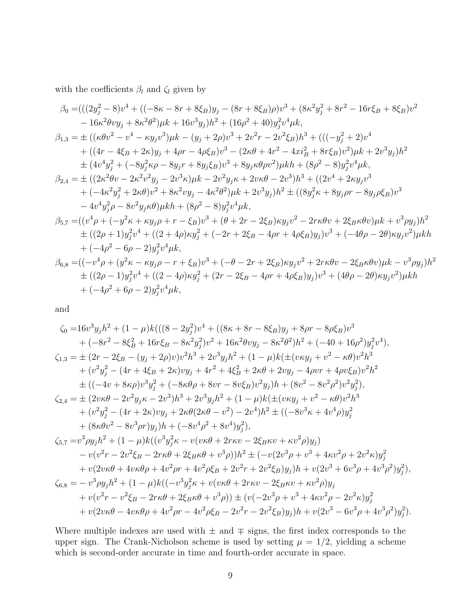with the coefficients  $\beta_l$  and  $\zeta_l$  given by

$$
\beta_{0} = (((2y_{j}^{2} - 8)v^{4} + ((-8\kappa - 8r + 8\xi_{B})y_{j} - (8r + 8\xi_{B})\rho)v^{3} + (8\kappa^{2}y_{j}^{2} + 8r^{2} - 16r\xi_{B} + 8\xi_{B})v^{2}
$$
  
\n
$$
- 16\kappa^{2}\theta vy_{j} + 8\kappa^{2}\theta^{2})\mu k + 16v^{3}y_{j})h^{2} + (16\rho^{2} + 40)y_{j}^{2}v^{4}\mu k,
$$
  
\n
$$
\beta_{1,3} = \pm ((\kappa\theta v^{2} - v^{4} - \kappa y_{j}v^{3})\mu k - (y_{j} + 2\rho)v^{3} + 2v^{2}r - 2v^{2}\xi_{B})h^{3} + (((-y_{j}^{2} + 2)v^{4} + ((4r - 4\xi_{B} + 2\kappa)y_{j} + 4\rho r - 4\rho\xi_{B})v^{3} - (2\kappa\theta + 4r^{2} - 4xi_{B}^{2} + 8r\xi_{B})v^{2})\mu k + 2v^{3}y_{j})h^{2}
$$
  
\n
$$
\pm (4v^{4}y_{j}^{2} + (-8y_{j}^{2}\kappa\rho - 8y_{j}r + 8y_{j}\xi_{B})v^{3} + 8y_{j}\kappa\theta\rho v^{2})\mu kh + (8\rho^{2} - 8)y_{j}^{2}v^{4}\mu k,
$$
  
\n
$$
\beta_{2,4} = \pm ((2\kappa^{2}\theta v - 2\kappa^{2}v^{2}y_{j} - 2v^{3}\kappa)\mu k - 2v^{2}y_{j}\kappa + 2v\kappa\theta - 2v^{3})h^{3} + ((2v^{4} + 2\kappa y_{j}v^{3} - 4v^{4}y_{j}^{2} - 8v^{2}y_{j} + 8v^{2}vy_{j} - 4\kappa^{2}\theta^{2})\mu k + 2v^{3}y_{j})h^{2} \pm ((8y_{j}^{2}\kappa + 8y_{j}\rho r - 8y_{j}\rho\xi_{B})v^{3} - 4v^{4}y_{j}^{2} - 8v^{2}y_{j}\kappa\theta)\mu kh + (8\rho^{
$$

and

$$
\zeta_{0} = 16v^{3}y_{j}h^{2} + (1 - \mu)k(((8 - 2y_{j}^{2})v^{4} + ((8\kappa + 8r - 8\xi_{B})y_{j} + 8\rho r - 8\rho \xi_{B})v^{3} \n+ (-8r^{2} - 8\xi_{B}^{2} + 16r\xi_{B} - 8\kappa^{2}y_{j}^{2})v^{2} + 16\kappa^{2}\theta vy_{j} - 8\kappa^{2}\theta^{2})h^{2} + (-40 + 16\rho^{2})y_{j}^{2}v^{4}),
$$
  
\n
$$
\zeta_{1,3} = \pm (2r - 2\xi_{B} - (y_{j} + 2\rho)v)v^{2}h^{3} + 2v^{3}y_{j}h^{2} + (1 - \mu)k(\pm(v\kappa y_{j} + v^{2} - \kappa\theta)v^{2}h^{3} \n+ (v^{2}y_{j}^{2} - (4r + 4\xi_{B} + 2\kappa)vy_{j} + 4r^{2} + 4\xi_{B}^{2} + 2\kappa\theta + 2vy_{j} - 4\rho vr + 4\rho v \xi_{B})v^{2}h^{2} \n\pm ((-4v + 8\kappa\rho)v^{3}y_{j}^{2} + (-8\kappa\theta\rho + 8vr - 8v\xi_{B})v^{2}y_{j})h + (8v^{2} - 8v^{2}\rho^{2})v^{2}y_{j}^{2}),
$$
  
\n
$$
\zeta_{2,4} = \pm (2v\kappa\theta - 2v^{2}y_{j}\kappa - 2v^{3})h^{3} + 2v^{3}y_{j}h^{2} + (1 - \mu)k(\pm(v\kappa y_{j} + v^{2} - \kappa\theta)v^{2}h^{3} \n+ (v^{2}y_{j}^{2} - (4r + 2\kappa)vy_{j} + 2\kappa\theta(2\kappa\theta - v^{2}) - 2v^{4})h^{2} \pm ((-8v^{3}\kappa + 4v^{4}\rho)y_{j}^{2} \n+ (8\kappa\theta v^{2} - 8v^{3}\rho r)y_{j})h + (-8v^{4}\rho^{2} + 8v^{4})y_{j}^{2}),
$$
  
\n
$$
\zeta_{5,7} = v
$$

Where multiple indexes are used with  $\pm$  and  $\mp$  signs, the first index corresponds to the upper sign. The Crank-Nicholson scheme is used by setting  $\mu = 1/2$ , yielding a scheme which is second-order accurate in time and fourth-order accurate in space.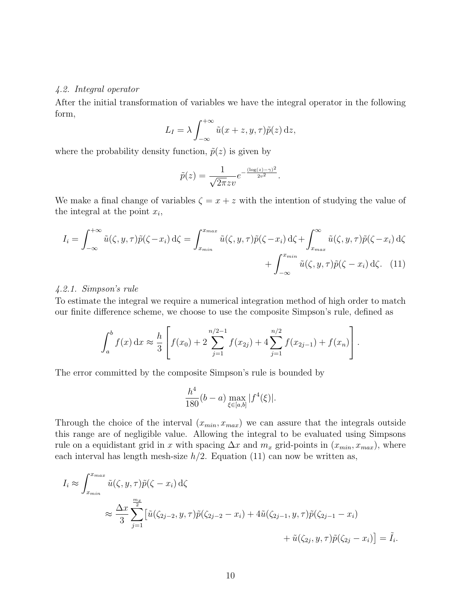#### 4.2. Integral operator

After the initial transformation of variables we have the integral operator in the following form,

$$
L_I = \lambda \int_{-\infty}^{+\infty} \tilde{u}(x+z, y, \tau) \tilde{p}(z) dz,
$$

where the probability density function,  $\tilde{p}(z)$  is given by

$$
\tilde{p}(z) = \frac{1}{\sqrt{2\pi}zv}e^{-\frac{(\log(z)-\gamma)^2}{2v^2}}.
$$

We make a final change of variables  $\zeta = x + z$  with the intention of studying the value of the integral at the point  $x_i$ ,

$$
I_i = \int_{-\infty}^{+\infty} \tilde{u}(\zeta, y, \tau) \tilde{p}(\zeta - x_i) d\zeta = \int_{x_{min}}^{x_{max}} \tilde{u}(\zeta, y, \tau) \tilde{p}(\zeta - x_i) d\zeta + \int_{x_{max}}^{\infty} \tilde{u}(\zeta, y, \tau) \tilde{p}(\zeta - x_i) d\zeta
$$

$$
+ \int_{-\infty}^{x_{min}} \tilde{u}(\zeta, y, \tau) \tilde{p}(\zeta - x_i) d\zeta. \tag{11}
$$

#### 4.2.1. Simpson's rule

To estimate the integral we require a numerical integration method of high order to match our finite difference scheme, we choose to use the composite Simpson's rule, defined as

$$
\int_a^b f(x) dx \approx \frac{h}{3} \left[ f(x_0) + 2 \sum_{j=1}^{n/2-1} f(x_{2j}) + 4 \sum_{j=1}^{n/2} f(x_{2j-1}) + f(x_n) \right].
$$

The error committed by the composite Simpson's rule is bounded by

$$
\frac{h^4}{180}(b-a)\max_{\xi\in[a,b]}|f^4(\xi)|.
$$

Through the choice of the interval  $(x_{min}, x_{max})$  we can assure that the integrals outside this range are of negligible value. Allowing the integral to be evaluated using Simpsons rule on a equidistant grid in x with spacing  $\Delta x$  and  $m_x$  grid-points in  $(x_{min}, x_{max})$ , where each interval has length mesh-size  $h/2$ . Equation (11) can now be written as,

$$
I_i \approx \int_{x_{min}}^{x_{max}} \tilde{u}(\zeta, y, \tau) \tilde{p}(\zeta - x_i) d\zeta
$$
  

$$
\approx \frac{\Delta x}{3} \sum_{j=1}^{\frac{m_x}{2}} \left[ \tilde{u}(\zeta_{2j-2}, y, \tau) \tilde{p}(\zeta_{2j-2} - x_i) + 4\tilde{u}(\zeta_{2j-1}, y, \tau) \tilde{p}(\zeta_{2j-1} - x_i) + \tilde{u}(\zeta_{2j}, y, \tau) \tilde{p}(\zeta_{2j} - x_i) \right] = \tilde{I}_i.
$$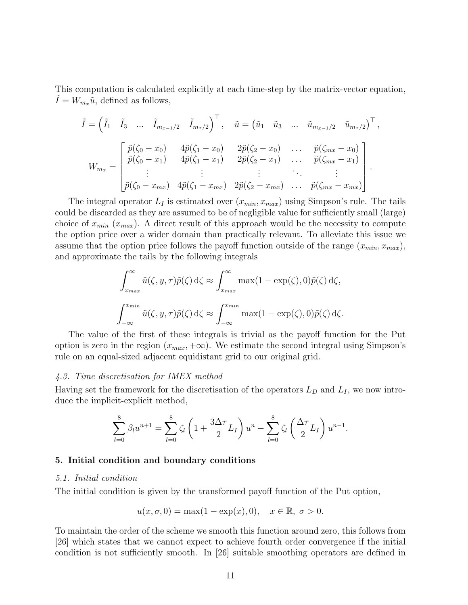This computation is calculated explicitly at each time-step by the matrix-vector equation,  $\tilde{I} = W_{m_x}\tilde{u}$ , defined as follows,

$$
\tilde{I} = \begin{pmatrix} \tilde{I}_1 & \tilde{I}_3 & \dots & \tilde{I}_{m_{x-1}/2} & \tilde{I}_{m_x/2} \end{pmatrix}^\top, \quad \tilde{u} = \begin{pmatrix} \tilde{u}_1 & \tilde{u}_3 & \dots & \tilde{u}_{m_{x-1}/2} & \tilde{u}_{m_x/2} \end{pmatrix}^\top, \nW_{m_x} = \begin{bmatrix} \tilde{p}(\zeta_0 - x_0) & 4\tilde{p}(\zeta_1 - x_0) & 2\tilde{p}(\zeta_2 - x_0) & \dots & \tilde{p}(\zeta_{mx} - x_0) \\ \tilde{p}(\zeta_0 - x_1) & 4\tilde{p}(\zeta_1 - x_1) & 2\tilde{p}(\zeta_2 - x_1) & \dots & \tilde{p}(\zeta_{mx} - x_1) \\ \vdots & \vdots & \vdots & \ddots & \vdots \\ \tilde{p}(\zeta_0 - x_{mx}) & 4\tilde{p}(\zeta_1 - x_{mx}) & 2\tilde{p}(\zeta_2 - x_{mx}) & \dots & \tilde{p}(\zeta_{mx} - x_{mx}) \end{bmatrix}
$$

The integral operator  $L_I$  is estimated over  $(x_{min}, x_{max})$  using Simpson's rule. The tails could be discarded as they are assumed to be of negligible value for sufficiently small (large) choice of  $x_{min}$  ( $x_{max}$ ). A direct result of this approach would be the necessity to compute the option price over a wider domain than practically relevant. To alleviate this issue we assume that the option price follows the payoff function outside of the range  $(x_{min}, x_{max})$ , and approximate the tails by the following integrals

$$
\int_{x_{max}}^{\infty} \tilde{u}(\zeta, y, \tau) \tilde{p}(\zeta) d\zeta \approx \int_{x_{max}}^{\infty} \max(1 - \exp(\zeta), 0) \tilde{p}(\zeta) d\zeta,
$$
  

$$
\int_{-\infty}^{x_{min}} \tilde{u}(\zeta, y, \tau) \tilde{p}(\zeta) d\zeta \approx \int_{-\infty}^{x_{min}} \max(1 - \exp(\zeta), 0) \tilde{p}(\zeta) d\zeta.
$$

The value of the first of these integrals is trivial as the payoff function for the Put option is zero in the region  $(x_{max}, +\infty)$ . We estimate the second integral using Simpson's rule on an equal-sized adjacent equidistant grid to our original grid.

#### 4.3. Time discretisation for IMEX method

Having set the framework for the discretisation of the operators  $L_D$  and  $L_I$ , we now introduce the implicit-explicit method,

$$
\sum_{l=0}^{8} \beta_l u^{n+1} = \sum_{l=0}^{8} \zeta_l \left( 1 + \frac{3\Delta\tau}{2} L_I \right) u^n - \sum_{l=0}^{8} \zeta_l \left( \frac{\Delta\tau}{2} L_I \right) u^{n-1}.
$$

#### 5. Initial condition and boundary conditions

#### 5.1. Initial condition

The initial condition is given by the transformed payoff function of the Put option,

$$
u(x, \sigma, 0) = \max(1 - \exp(x), 0), \quad x \in \mathbb{R}, \sigma > 0.
$$

To maintain the order of the scheme we smooth this function around zero, this follows from [26] which states that we cannot expect to achieve fourth order convergence if the initial condition is not sufficiently smooth. In [26] suitable smoothing operators are defined in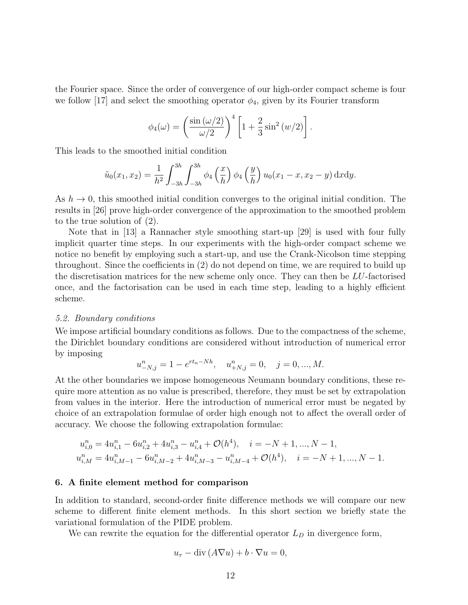the Fourier space. Since the order of convergence of our high-order compact scheme is four we follow [17] and select the smoothing operator  $\phi_4$ , given by its Fourier transform

$$
\phi_4(\omega) = \left(\frac{\sin{(\omega/2)}}{\omega/2}\right)^4 \left[1 + \frac{2}{3}\sin^2{(\omega/2)}\right].
$$

This leads to the smoothed initial condition

$$
\tilde{u}_0(x_1, x_2) = \frac{1}{h^2} \int_{-3h}^{3h} \int_{-3h}^{3h} \phi_4\left(\frac{x}{h}\right) \phi_4\left(\frac{y}{h}\right) u_0(x_1 - x, x_2 - y) \, \mathrm{d}x \mathrm{d}y.
$$

As  $h \to 0$ , this smoothed initial condition converges to the original initial condition. The results in [26] prove high-order convergence of the approximation to the smoothed problem to the true solution of (2).

Note that in [13] a Rannacher style smoothing start-up [29] is used with four fully implicit quarter time steps. In our experiments with the high-order compact scheme we notice no benefit by employing such a start-up, and use the Crank-Nicolson time stepping throughout. Since the coefficients in (2) do not depend on time, we are required to build up the discretisation matrices for the new scheme only once. They can then be LU-factorised once, and the factorisation can be used in each time step, leading to a highly efficient scheme.

#### 5.2. Boundary conditions

We impose artificial boundary conditions as follows. Due to the compactness of the scheme, the Dirichlet boundary conditions are considered without introduction of numerical error by imposing

$$
u_{-N,j}^{n} = 1 - e^{rt_n - Nh}, \quad u_{+N,j}^{n} = 0, \quad j = 0, ..., M.
$$

At the other boundaries we impose homogeneous Neumann boundary conditions, these require more attention as no value is prescribed, therefore, they must be set by extrapolation from values in the interior. Here the introduction of numerical error must be negated by choice of an extrapolation formulae of order high enough not to affect the overall order of accuracy. We choose the following extrapolation formulae:

$$
u_{i,0}^n = 4u_{i,1}^n - 6u_{i,2}^n + 4u_{i,3}^n - u_{i,4}^n + \mathcal{O}(h^4), \quad i = -N+1, ..., N-1,
$$
  

$$
u_{i,M}^n = 4u_{i,M-1}^n - 6u_{i,M-2}^n + 4u_{i,M-3}^n - u_{i,M-4}^n + \mathcal{O}(h^4), \quad i = -N+1, ..., N-1.
$$

#### 6. A finite element method for comparison

In addition to standard, second-order finite difference methods we will compare our new scheme to different finite element methods. In this short section we briefly state the variational formulation of the PIDE problem.

We can rewrite the equation for the differential operator  $L<sub>D</sub>$  in divergence form,

$$
u_{\tau} - \operatorname{div}(A\nabla u) + b \cdot \nabla u = 0,
$$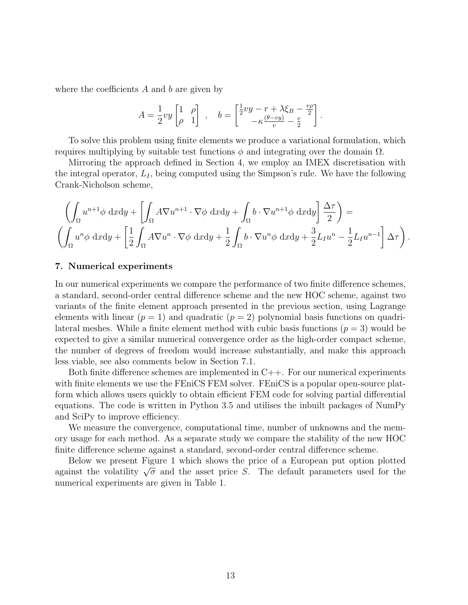where the coefficients  $A$  and  $b$  are given by

$$
A = \frac{1}{2}vy \begin{bmatrix} 1 & \rho \\ \rho & 1 \end{bmatrix} , \quad b = \begin{bmatrix} \frac{1}{2}vy - r + \lambda \xi_B - \frac{v\rho}{2} \\ -\kappa \frac{(\theta - vy)}{v} - \frac{v}{2} \end{bmatrix}.
$$

To solve this problem using finite elements we produce a variational formulation, which requires multiplying by suitable test functions  $φ$  and integrating over the domain  $Ω$ .

Mirroring the approach defined in Section 4, we employ an IMEX discretisation with the integral operator,  $L_I$ , being computed using the Simpson's rule. We have the following Crank-Nicholson scheme,

$$
\left(\int_{\Omega} u^{n+1} \phi \, \mathrm{d}x \mathrm{d}y + \left[\int_{\Omega} A \nabla u^{n+1} \cdot \nabla \phi \, \mathrm{d}x \mathrm{d}y + \int_{\Omega} b \cdot \nabla u^{n+1} \phi \, \mathrm{d}x \mathrm{d}y\right] \frac{\Delta \tau}{2}\right) =
$$
\n
$$
\left(\int_{\Omega} u^n \phi \, \mathrm{d}x \mathrm{d}y + \left[\frac{1}{2} \int_{\Omega} A \nabla u^n \cdot \nabla \phi \, \mathrm{d}x \mathrm{d}y + \frac{1}{2} \int_{\Omega} b \cdot \nabla u^n \phi \, \mathrm{d}x \mathrm{d}y + \frac{3}{2} L_I u^n - \frac{1}{2} L_I u^{n-1}\right] \Delta \tau\right).
$$

#### 7. Numerical experiments

In our numerical experiments we compare the performance of two finite difference schemes, a standard, second-order central difference scheme and the new HOC scheme, against two variants of the finite element approach presented in the previous section, using Lagrange elements with linear  $(p = 1)$  and quadratic  $(p = 2)$  polynomial basis functions on quadrilateral meshes. While a finite element method with cubic basis functions  $(p = 3)$  would be expected to give a similar numerical convergence order as the high-order compact scheme, the number of degrees of freedom would increase substantially, and make this approach less viable, see also comments below in Section 7.1.

Both finite difference schemes are implemented in C++. For our numerical experiments with finite elements we use the FEniCS FEM solver. FEniCS is a popular open-source platform which allows users quickly to obtain efficient FEM code for solving partial differential equations. The code is written in Python 3.5 and utilises the inbuilt packages of NumPy and SciPy to improve efficiency.

We measure the convergence, computational time, number of unknowns and the memory usage for each method. As a separate study we compare the stability of the new HOC finite difference scheme against a standard, second-order central difference scheme.

Below we present Figure 1 which shows the price of a European put option plotted below we present righte 1 which shows the price of a European put option plotted against the volatility  $\sqrt{\sigma}$  and the asset price S. The default parameters used for the numerical experiments are given in Table 1.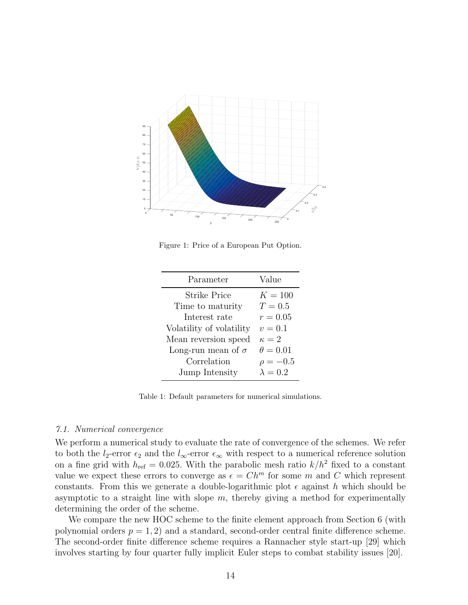

Figure 1: Price of a European Put Option.

| Parameter                 | Value           |
|---------------------------|-----------------|
| <b>Strike Price</b>       | $K = 100$       |
| Time to maturity          | $T=0.5$         |
| Interest rate             | $r = 0.05$      |
| Volatility of volatility  | $v = 0.1$       |
| Mean reversion speed      | $\kappa=2$      |
| Long-run mean of $\sigma$ | $\theta = 0.01$ |
| Correlation               | $\rho = -0.5$   |
| Jump Intensity            | $\lambda = 0.2$ |

Table 1: Default parameters for numerical simulations.

#### 7.1. Numerical convergence

We perform a numerical study to evaluate the rate of convergence of the schemes. We refer to both the  $l_2$ -error  $\epsilon_2$  and the  $l_{\infty}$ -error  $\epsilon_{\infty}$  with respect to a numerical reference solution on a fine grid with  $h_{\text{ref}} = 0.025$ . With the parabolic mesh ratio  $k/h^2$  fixed to a constant value we expect these errors to converge as  $\epsilon = Ch^m$  for some m and C which represent constants. From this we generate a double-logarithmic plot  $\epsilon$  against h which should be asymptotic to a straight line with slope  $m$ , thereby giving a method for experimentally determining the order of the scheme.

We compare the new HOC scheme to the finite element approach from Section 6 (with polynomial orders  $p = 1, 2$  and a standard, second-order central finite difference scheme. The second-order finite difference scheme requires a Rannacher style start-up [29] which involves starting by four quarter fully implicit Euler steps to combat stability issues [20].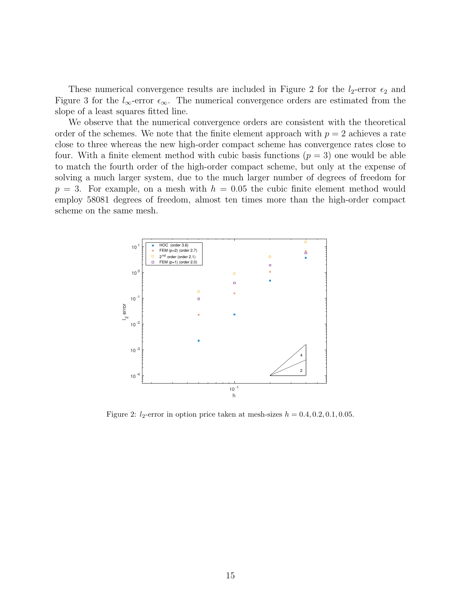These numerical convergence results are included in Figure 2 for the  $l_2$ -error  $\epsilon_2$  and Figure 3 for the  $l_{\infty}$ -error  $\epsilon_{\infty}$ . The numerical convergence orders are estimated from the slope of a least squares fitted line.

We observe that the numerical convergence orders are consistent with the theoretical order of the schemes. We note that the finite element approach with  $p = 2$  achieves a rate close to three whereas the new high-order compact scheme has convergence rates close to four. With a finite element method with cubic basis functions  $(p = 3)$  one would be able to match the fourth order of the high-order compact scheme, but only at the expense of solving a much larger system, due to the much larger number of degrees of freedom for  $p = 3$ . For example, on a mesh with  $h = 0.05$  the cubic finite element method would employ 58081 degrees of freedom, almost ten times more than the high-order compact scheme on the same mesh.



Figure 2:  $l_2$ -error in option price taken at mesh-sizes  $h = 0.4, 0.2, 0.1, 0.05$ .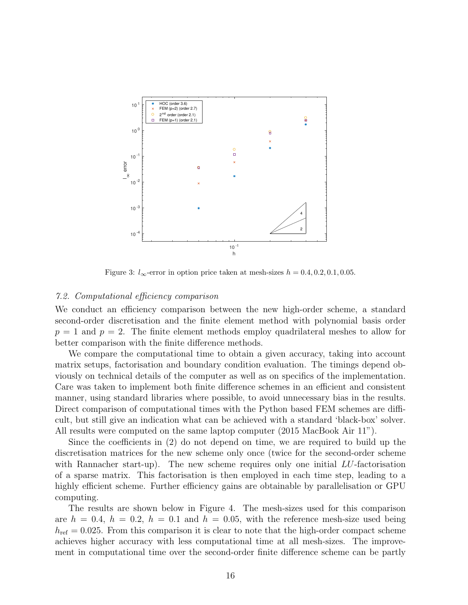

Figure 3:  $l_{\infty}$ -error in option price taken at mesh-sizes  $h = 0.4, 0.2, 0.1, 0.05$ .

#### 7.2. Computational efficiency comparison

We conduct an efficiency comparison between the new high-order scheme, a standard second-order discretisation and the finite element method with polynomial basis order  $p = 1$  and  $p = 2$ . The finite element methods employ quadrilateral meshes to allow for better comparison with the finite difference methods.

We compare the computational time to obtain a given accuracy, taking into account matrix setups, factorisation and boundary condition evaluation. The timings depend obviously on technical details of the computer as well as on specifics of the implementation. Care was taken to implement both finite difference schemes in an efficient and consistent manner, using standard libraries where possible, to avoid unnecessary bias in the results. Direct comparison of computational times with the Python based FEM schemes are difficult, but still give an indication what can be achieved with a standard 'black-box' solver. All results were computed on the same laptop computer (2015 MacBook Air 11").

Since the coefficients in (2) do not depend on time, we are required to build up the discretisation matrices for the new scheme only once (twice for the second-order scheme with Rannacher start-up). The new scheme requires only one initial  $LU$ -factorisation of a sparse matrix. This factorisation is then employed in each time step, leading to a highly efficient scheme. Further efficiency gains are obtainable by parallelisation or GPU computing.

The results are shown below in Figure 4. The mesh-sizes used for this comparison are  $h = 0.4$ ,  $h = 0.2$ ,  $h = 0.1$  and  $h = 0.05$ , with the reference mesh-size used being  $h_{\text{ref}} = 0.025$ . From this comparison it is clear to note that the high-order compact scheme achieves higher accuracy with less computational time at all mesh-sizes. The improvement in computational time over the second-order finite difference scheme can be partly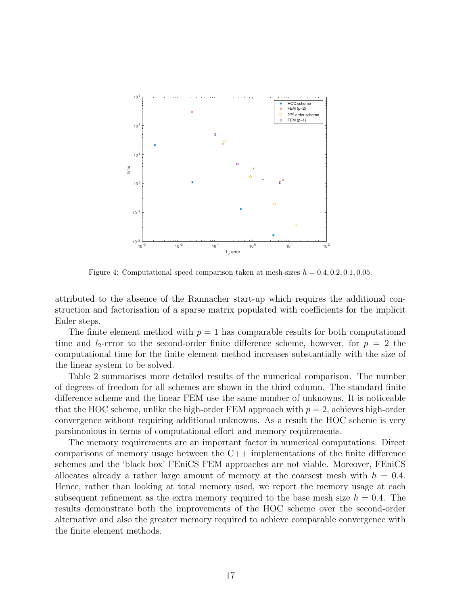

Figure 4: Computational speed comparison taken at mesh-sizes  $h = 0.4, 0.2, 0.1, 0.05$ .

attributed to the absence of the Rannacher start-up which requires the additional construction and factorisation of a sparse matrix populated with coefficients for the implicit Euler steps.

The finite element method with  $p = 1$  has comparable results for both computational time and  $l_2$ -error to the second-order finite difference scheme, however, for  $p = 2$  the computational time for the finite element method increases substantially with the size of the linear system to be solved.

Table 2 summarises more detailed results of the numerical comparison. The number of degrees of freedom for all schemes are shown in the third column. The standard finite difference scheme and the linear FEM use the same number of unknowns. It is noticeable that the HOC scheme, unlike the high-order FEM approach with  $p = 2$ , achieves high-order convergence without requiring additional unknowns. As a result the HOC scheme is very parsimonious in terms of computational effort and memory requirements.

The memory requirements are an important factor in numerical computations. Direct comparisons of memory usage between the  $C++$  implementations of the finite difference schemes and the 'black box' FEniCS FEM approaches are not viable. Moreover, FEniCS allocates already a rather large amount of memory at the coarsest mesh with  $h = 0.4$ . Hence, rather than looking at total memory used, we report the memory usage at each subsequent refinement as the extra memory required to the base mesh size  $h = 0.4$ . The results demonstrate both the improvements of the HOC scheme over the second-order alternative and also the greater memory required to achieve comparable convergence with the finite element methods.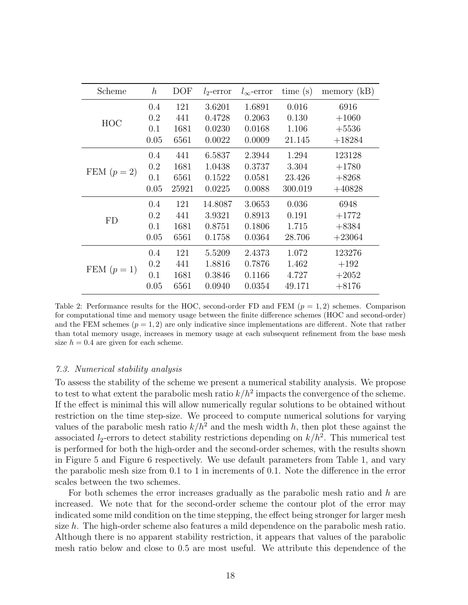| Scheme      | $\boldsymbol{h}$ | DOF   | $l_2$ -error | $l_{\infty}$ -error | time(s) | memory $(kB)$ |
|-------------|------------------|-------|--------------|---------------------|---------|---------------|
| HOC         | 0.4              | 121   | 3.6201       | 1.6891              | 0.016   | 6916          |
|             | 0.2              | 441   | 0.4728       | 0.2063              | 0.130   | $+1060$       |
|             | 0.1              | 1681  | 0.0230       | 0.0168              | 1.106   | $+5536$       |
|             | 0.05             | 6561  | 0.0022       | 0.0009              | 21.145  | $+18284$      |
| FEM $(p=2)$ | 0.4              | 441   | 6.5837       | 2.3944              | 1.294   | 123128        |
|             | 0.2              | 1681  | 1.0438       | 0.3737              | 3.304   | $+1780$       |
|             | 0.1              | 6561  | 0.1522       | 0.0581              | 23.426  | $+8268$       |
|             | 0.05             | 25921 | 0.0225       | 0.0088              | 300.019 | $+40828$      |
| FD          | 0.4              | 121   | 14.8087      | 3.0653              | 0.036   | 6948          |
|             | 0.2              | 441   | 3.9321       | 0.8913              | 0.191   | $+1772$       |
|             | 0.1              | 1681  | 0.8751       | 0.1806              | 1.715   | $+8384$       |
|             | 0.05             | 6561  | 0.1758       | 0.0364              | 28.706  | $+23064$      |
| FEM $(p=1)$ | 0.4              | 121   | 5.5209       | 2.4373              | 1.072   | 123276        |
|             | 0.2              | 441   | 1.8816       | 0.7876              | 1.462   | $+192$        |
|             | 0.1              | 1681  | 0.3846       | 0.1166              | 4.727   | $+2052$       |
|             | 0.05             | 6561  | 0.0940       | 0.0354              | 49.171  | $+8176$       |

Table 2: Performance results for the HOC, second-order FD and FEM  $(p = 1, 2)$  schemes. Comparison for computational time and memory usage between the finite difference schemes (HOC and second-order) and the FEM schemes  $(p = 1, 2)$  are only indicative since implementations are different. Note that rather than total memory usage, increases in memory usage at each subsequent refinement from the base mesh size  $h = 0.4$  are given for each scheme.

#### 7.3. Numerical stability analysis

To assess the stability of the scheme we present a numerical stability analysis. We propose to test to what extent the parabolic mesh ratio  $k/h^2$  impacts the convergence of the scheme. If the effect is minimal this will allow numerically regular solutions to be obtained without restriction on the time step-size. We proceed to compute numerical solutions for varying values of the parabolic mesh ratio  $k/h^2$  and the mesh width h, then plot these against the associated  $l_2$ -errors to detect stability restrictions depending on  $k/h^2$ . This numerical test is performed for both the high-order and the second-order schemes, with the results shown in Figure 5 and Figure 6 respectively. We use default parameters from Table 1, and vary the parabolic mesh size from 0.1 to 1 in increments of 0.1. Note the difference in the error scales between the two schemes.

For both schemes the error increases gradually as the parabolic mesh ratio and  $h$  are increased. We note that for the second-order scheme the contour plot of the error may indicated some mild condition on the time stepping, the effect being stronger for larger mesh size  $h$ . The high-order scheme also features a mild dependence on the parabolic mesh ratio. Although there is no apparent stability restriction, it appears that values of the parabolic mesh ratio below and close to 0.5 are most useful. We attribute this dependence of the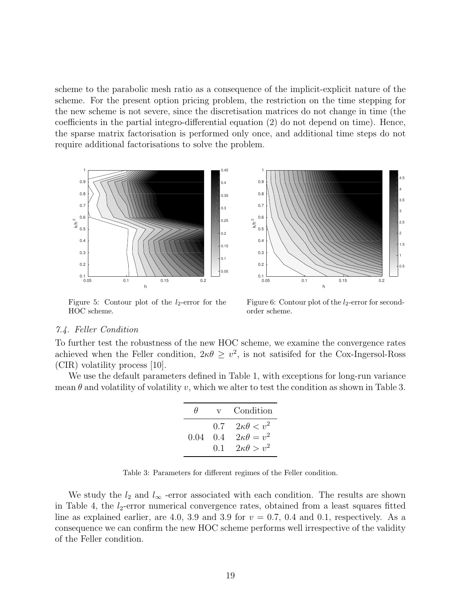scheme to the parabolic mesh ratio as a consequence of the implicit-explicit nature of the scheme. For the present option pricing problem, the restriction on the time stepping for the new scheme is not severe, since the discretisation matrices do not change in time (the coefficients in the partial integro-differential equation (2) do not depend on time). Hence, the sparse matrix factorisation is performed only once, and additional time steps do not require additional factorisations to solve the problem.



Figure 5: Contour plot of the  $l_2$ -error for the HOC scheme.



Figure 6: Contour plot of the  $l_2$ -error for secondorder scheme.

#### 7.4. Feller Condition

To further test the robustness of the new HOC scheme, we examine the convergence rates achieved when the Feller condition,  $2\kappa\theta \geq v^2$ , is not satisfied for the Cox-Ingersol-Ross (CIR) volatility process [10].

We use the default parameters defined in Table 1, with exceptions for long-run variance mean  $\theta$  and volatility of volatility v, which we alter to test the condition as shown in Table 3.

| н    | $\mathbf{V}$            | Condition                                                               |
|------|-------------------------|-------------------------------------------------------------------------|
| 0.04 | 0.7<br>(1.4)<br>$(1)$ . | $2\kappa\theta < v^2$<br>$2\kappa\theta = v^2$<br>$2\kappa\theta > v^2$ |

Table 3: Parameters for different regimes of the Feller condition.

We study the  $l_2$  and  $l_{\infty}$  -error associated with each condition. The results are shown in Table 4, the  $l_2$ -error numerical convergence rates, obtained from a least squares fitted line as explained earlier, are 4.0, 3.9 and 3.9 for  $v = 0.7$ , 0.4 and 0.1, respectively. As a consequence we can confirm the new HOC scheme performs well irrespective of the validity of the Feller condition.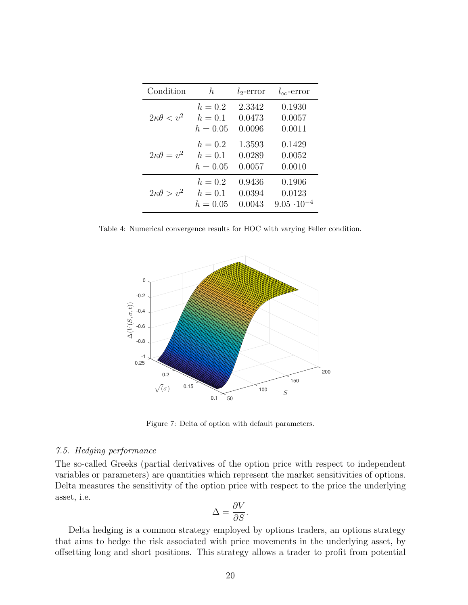| Condition             | h,                      | $l_2$ -error     | $l_{\infty}$ -error  |
|-----------------------|-------------------------|------------------|----------------------|
|                       | $h = 0.2$               | 2.3342           | 0.1930               |
| $2\kappa\theta < v^2$ | $h = 0.1$<br>$h = 0.05$ | 0.0473<br>0.0096 | 0.0057<br>0.0011     |
|                       |                         |                  |                      |
| $2\kappa\theta = v^2$ | $h=0.2$<br>$h = 0.1$    | 1.3593<br>0.0289 | 0.1429<br>0.0052     |
|                       | $h = 0.05$              | 0.0057           | 0.0010               |
|                       | $h=0.2$                 | 0.9436           | 0.1906               |
| $2\kappa\theta > v^2$ | $h = 0.1$               | 0.0394           | 0.0123               |
|                       | $h = 0.05$              | 0.0043           | $9.05 \cdot 10^{-4}$ |

Table 4: Numerical convergence results for HOC with varying Feller condition.



Figure 7: Delta of option with default parameters.

#### 7.5. Hedging performance

The so-called Greeks (partial derivatives of the option price with respect to independent variables or parameters) are quantities which represent the market sensitivities of options. Delta measures the sensitivity of the option price with respect to the price the underlying asset, i.e.

$$
\Delta = \frac{\partial V}{\partial S}.
$$

Delta hedging is a common strategy employed by options traders, an options strategy that aims to hedge the risk associated with price movements in the underlying asset, by offsetting long and short positions. This strategy allows a trader to profit from potential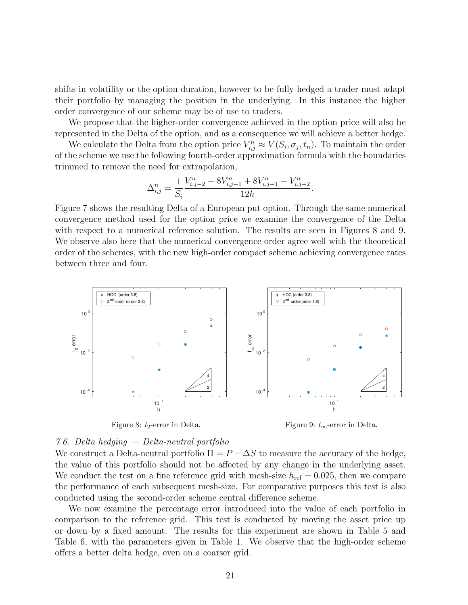shifts in volatility or the option duration, however to be fully hedged a trader must adapt their portfolio by managing the position in the underlying. In this instance the higher order convergence of our scheme may be of use to traders.

We propose that the higher-order convergence achieved in the option price will also be represented in the Delta of the option, and as a consequence we will achieve a better hedge.

We calculate the Delta from the option price  $V_{i,j}^n \approx V(S_i, \sigma_j, t_n)$ . To maintain the order of the scheme we use the following fourth-order approximation formula with the boundaries trimmed to remove the need for extrapolation,

$$
\Delta_{i,j}^{n} = \frac{1}{S_i} \frac{V_{i,j-2}^{n} - 8V_{i,j-1}^{n} + 8V_{i,j+1}^{n} - V_{i,j+2}^{n}}{12h}.
$$

Figure 7 shows the resulting Delta of a European put option. Through the same numerical convergence method used for the option price we examine the convergence of the Delta with respect to a numerical reference solution. The results are seen in Figures 8 and 9. We observe also here that the numerical convergence order agree well with the theoretical order of the schemes, with the new high-order compact scheme achieving convergence rates between three and four.



Figure 8:  $l_2$ -error in Delta.

Figure 9:  $l_{\infty}$ -error in Delta.

#### 7.6. Delta hedging — Delta-neutral portfolio

We construct a Delta-neutral portfolio  $\Pi = P - \Delta S$  to measure the accuracy of the hedge, the value of this portfolio should not be affected by any change in the underlying asset. We conduct the test on a fine reference grid with mesh-size  $h_{\text{ref}} = 0.025$ , then we compare the performance of each subsequent mesh-size. For comparative purposes this test is also conducted using the second-order scheme central difference scheme.

We now examine the percentage error introduced into the value of each portfolio in comparison to the reference grid. This test is conducted by moving the asset price up or down by a fixed amount. The results for this experiment are shown in Table 5 and Table 6, with the parameters given in Table 1. We observe that the high-order scheme offers a better delta hedge, even on a coarser grid.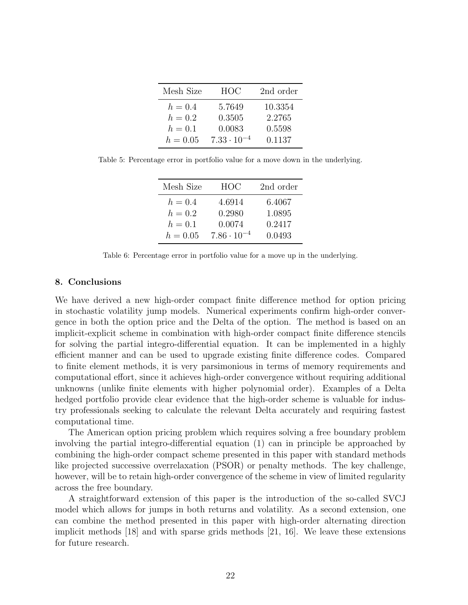| Mesh Size  | HOC                  | 2nd order |
|------------|----------------------|-----------|
| $h = 0.4$  | 5.7649               | 10.3354   |
| $h=0.2$    | 0.3505               | 2.2765    |
| $h=0.1$    | 0.0083               | 0.5598    |
| $h = 0.05$ | $7.33 \cdot 10^{-4}$ | 0.1137    |

Table 5: Percentage error in portfolio value for a move down in the underlying.

| Mesh Size  | HOC                  | 2nd order |
|------------|----------------------|-----------|
| $h=0.4$    | 4.6914               | 6.4067    |
| $h=0.2$    | 0.2980               | 1.0895    |
| $h=0.1$    | 0.0074               | 0.2417    |
| $h = 0.05$ | $7.86 \cdot 10^{-4}$ | 0.0493    |

Table 6: Percentage error in portfolio value for a move up in the underlying.

#### 8. Conclusions

We have derived a new high-order compact finite difference method for option pricing in stochastic volatility jump models. Numerical experiments confirm high-order convergence in both the option price and the Delta of the option. The method is based on an implicit-explicit scheme in combination with high-order compact finite difference stencils for solving the partial integro-differential equation. It can be implemented in a highly efficient manner and can be used to upgrade existing finite difference codes. Compared to finite element methods, it is very parsimonious in terms of memory requirements and computational effort, since it achieves high-order convergence without requiring additional unknowns (unlike finite elements with higher polynomial order). Examples of a Delta hedged portfolio provide clear evidence that the high-order scheme is valuable for industry professionals seeking to calculate the relevant Delta accurately and requiring fastest computational time.

The American option pricing problem which requires solving a free boundary problem involving the partial integro-differential equation (1) can in principle be approached by combining the high-order compact scheme presented in this paper with standard methods like projected successive overrelaxation (PSOR) or penalty methods. The key challenge, however, will be to retain high-order convergence of the scheme in view of limited regularity across the free boundary.

A straightforward extension of this paper is the introduction of the so-called SVCJ model which allows for jumps in both returns and volatility. As a second extension, one can combine the method presented in this paper with high-order alternating direction implicit methods [18] and with sparse grids methods [21, 16]. We leave these extensions for future research.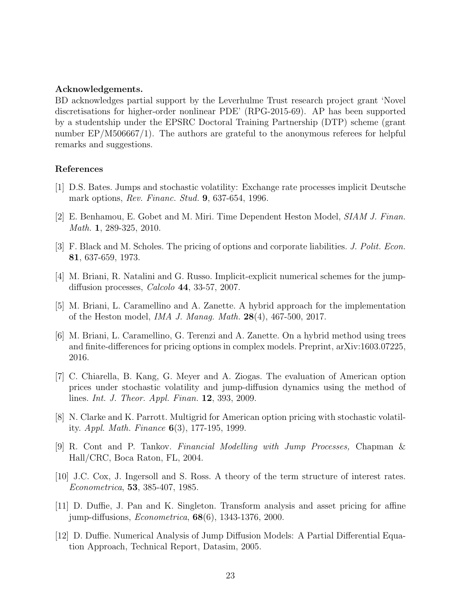#### Acknowledgements.

BD acknowledges partial support by the Leverhulme Trust research project grant 'Novel discretisations for higher-order nonlinear PDE' (RPG-2015-69). AP has been supported by a studentship under the EPSRC Doctoral Training Partnership (DTP) scheme (grant number EP/M506667/1). The authors are grateful to the anonymous referees for helpful remarks and suggestions.

#### References

- [1] D.S. Bates. Jumps and stochastic volatility: Exchange rate processes implicit Deutsche mark options, *Rev. Financ. Stud.* **9**, 637-654, 1996.
- [2] E. Benhamou, E. Gobet and M. Miri. Time Dependent Heston Model, SIAM J. Finan. Math. 1, 289-325, 2010.
- [3] F. Black and M. Scholes. The pricing of options and corporate liabilities. J. Polit. Econ. 81, 637-659, 1973.
- [4] M. Briani, R. Natalini and G. Russo. Implicit-explicit numerical schemes for the jumpdiffusion processes, Calcolo 44, 33-57, 2007.
- [5] M. Briani, L. Caramellino and A. Zanette. A hybrid approach for the implementation of the Heston model, IMA J. Manag. Math. 28(4), 467-500, 2017.
- [6] M. Briani, L. Caramellino, G. Terenzi and A. Zanette. On a hybrid method using trees and finite-differences for pricing options in complex models. Preprint, arXiv:1603.07225, 2016.
- [7] C. Chiarella, B. Kang, G. Meyer and A. Ziogas. The evaluation of American option prices under stochastic volatility and jump-diffusion dynamics using the method of lines. Int. J. Theor. Appl. Finan. 12, 393, 2009.
- [8] N. Clarke and K. Parrott. Multigrid for American option pricing with stochastic volatility. Appl. Math. Finance 6(3), 177-195, 1999.
- [9] R. Cont and P. Tankov. Financial Modelling with Jump Processes, Chapman & Hall/CRC, Boca Raton, FL, 2004.
- [10] J.C. Cox, J. Ingersoll and S. Ross. A theory of the term structure of interest rates. Econometrica, 53, 385-407, 1985.
- [11] D. Duffie, J. Pan and K. Singleton. Transform analysis and asset pricing for affine jump-diffusions,  $Econometrica$ ,  $68(6)$ , 1343-1376, 2000.
- [12] D. Duffie. Numerical Analysis of Jump Diffusion Models: A Partial Differential Equation Approach, Technical Report, Datasim, 2005.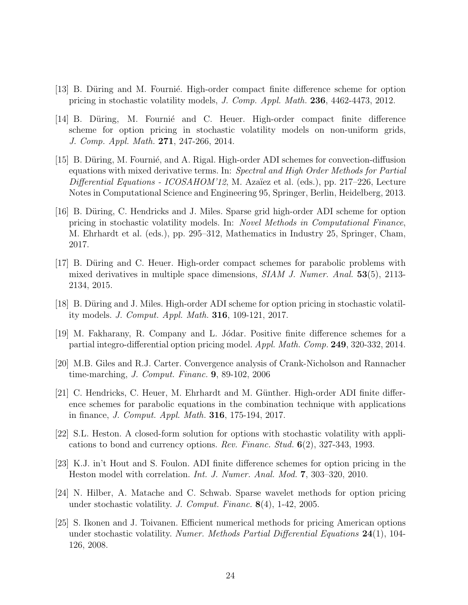- [13] B. Düring and M. Fournié. High-order compact finite difference scheme for option pricing in stochastic volatility models, J. Comp. Appl. Math. 236, 4462-4473, 2012.
- [14] B. Düring, M. Fournie and C. Heuer. High-order compact finite difference scheme for option pricing in stochastic volatility models on non-uniform grids, J. Comp. Appl. Math. 271, 247-266, 2014.
- [15] B. Düring, M. Fournié, and A. Rigal. High-order ADI schemes for convection-diffusion equations with mixed derivative terms. In: Spectral and High Order Methods for Partial  $Differential Equations - ICOSAHOM'12, M. Azaïez et al. (eds.), pp. 217–226, Lecture$ Notes in Computational Science and Engineering 95, Springer, Berlin, Heidelberg, 2013.
- [16] B. Düring, C. Hendricks and J. Miles. Sparse grid high-order ADI scheme for option pricing in stochastic volatility models. In: Novel Methods in Computational Finance, M. Ehrhardt et al. (eds.), pp. 295–312, Mathematics in Industry 25, Springer, Cham, 2017.
- [17] B. Düring and C. Heuer. High-order compact schemes for parabolic problems with mixed derivatives in multiple space dimensions,  $SIAM$  J. Numer. Anal. 53(5), 2113-2134, 2015.
- [18] B. Düring and J. Miles. High-order ADI scheme for option pricing in stochastic volatility models. J. Comput. Appl. Math. 316, 109-121, 2017.
- [19] M. Fakharany, R. Company and L. Jódar. Positive finite difference schemes for a partial integro-differential option pricing model. Appl. Math. Comp. 249, 320-332, 2014.
- [20] M.B. Giles and R.J. Carter. Convergence analysis of Crank-Nicholson and Rannacher time-marching, J. Comput. Financ. 9, 89-102, 2006
- [21] C. Hendricks, C. Heuer, M. Ehrhardt and M. Günther. High-order ADI finite difference schemes for parabolic equations in the combination technique with applications in finance, J. Comput. Appl. Math. 316, 175-194, 2017.
- [22] S.L. Heston. A closed-form solution for options with stochastic volatility with applications to bond and currency options. Rev. Financ. Stud.  $6(2)$ , 327-343, 1993.
- [23] K.J. in't Hout and S. Foulon. ADI finite difference schemes for option pricing in the Heston model with correlation. Int. J. Numer. Anal. Mod. 7, 303–320, 2010.
- [24] N. Hilber, A. Matache and C. Schwab. Sparse wavelet methods for option pricing under stochastic volatility. J. Comput. Financ. 8(4), 1-42, 2005.
- [25] S. Ikonen and J. Toivanen. Efficient numerical methods for pricing American options under stochastic volatility. Numer. Methods Partial Differential Equations 24(1), 104- 126, 2008.